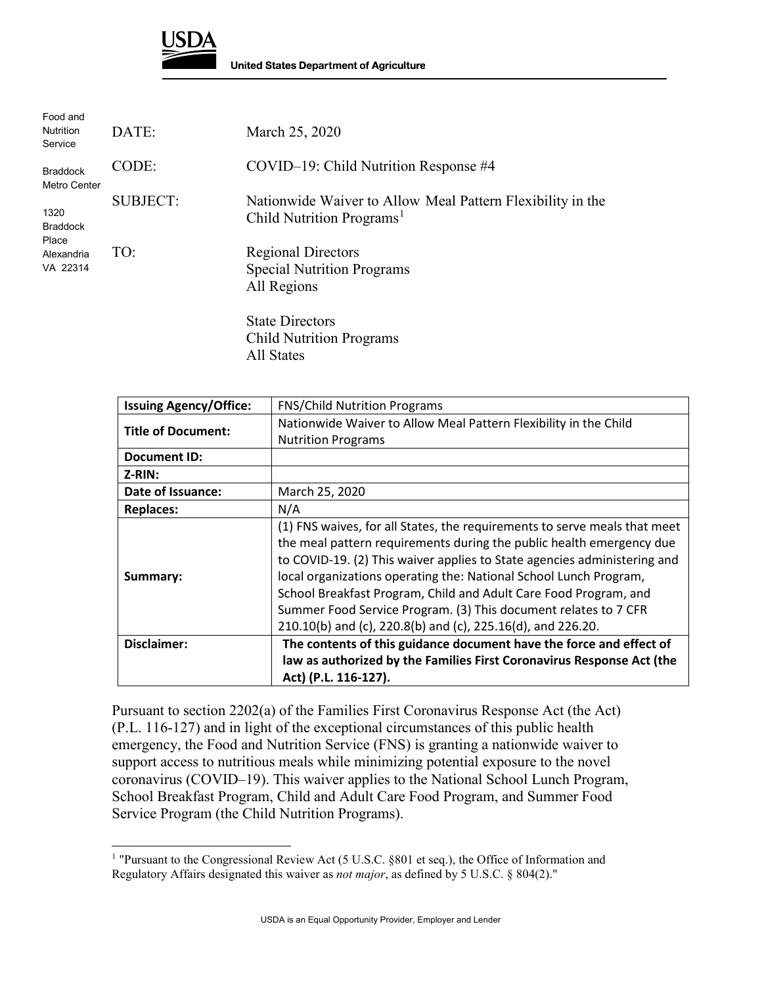

l

| Food and<br><b>Nutrition</b><br>Service                    | DATE:           | March 25, 2020                                                                                      |
|------------------------------------------------------------|-----------------|-----------------------------------------------------------------------------------------------------|
| <b>Braddock</b><br>Metro Center                            | CODE:           | COVID-19: Child Nutrition Response #4                                                               |
| 1320<br><b>Braddock</b><br>Place<br>Alexandria<br>VA 22314 | <b>SUBJECT:</b> | Nationwide Waiver to Allow Meal Pattern Flexibility in the<br>Child Nutrition Programs <sup>1</sup> |
|                                                            | TO:             | <b>Regional Directors</b><br><b>Special Nutrition Programs</b><br>All Regions                       |
|                                                            |                 | <b>State Directors</b><br><b>Child Nutrition Programs</b>                                           |

All States

| <b>Issuing Agency/Office:</b> | <b>FNS/Child Nutrition Programs</b>                                                                                                                                                                                                                                                                                                                                                                                                                                                                      |
|-------------------------------|----------------------------------------------------------------------------------------------------------------------------------------------------------------------------------------------------------------------------------------------------------------------------------------------------------------------------------------------------------------------------------------------------------------------------------------------------------------------------------------------------------|
|                               | Nationwide Waiver to Allow Meal Pattern Flexibility in the Child                                                                                                                                                                                                                                                                                                                                                                                                                                         |
| <b>Title of Document:</b>     | <b>Nutrition Programs</b>                                                                                                                                                                                                                                                                                                                                                                                                                                                                                |
| <b>Document ID:</b>           |                                                                                                                                                                                                                                                                                                                                                                                                                                                                                                          |
| $Z-RIN:$                      |                                                                                                                                                                                                                                                                                                                                                                                                                                                                                                          |
| Date of Issuance:             | March 25, 2020                                                                                                                                                                                                                                                                                                                                                                                                                                                                                           |
| <b>Replaces:</b>              | N/A                                                                                                                                                                                                                                                                                                                                                                                                                                                                                                      |
| Summary:                      | (1) FNS waives, for all States, the requirements to serve meals that meet<br>the meal pattern requirements during the public health emergency due<br>to COVID-19. (2) This waiver applies to State agencies administering and<br>local organizations operating the: National School Lunch Program,<br>School Breakfast Program, Child and Adult Care Food Program, and<br>Summer Food Service Program. (3) This document relates to 7 CFR<br>210.10(b) and (c), 220.8(b) and (c), 225.16(d), and 226.20. |
| Disclaimer:                   | The contents of this guidance document have the force and effect of                                                                                                                                                                                                                                                                                                                                                                                                                                      |
|                               | law as authorized by the Families First Coronavirus Response Act (the                                                                                                                                                                                                                                                                                                                                                                                                                                    |
|                               | Act) (P.L. 116-127).                                                                                                                                                                                                                                                                                                                                                                                                                                                                                     |

Pursuant to section 2202(a) of the Families First Coronavirus Response Act (the Act) (P.L. 116-127) and in light of the exceptional circumstances of this public health emergency, the Food and Nutrition Service (FNS) is granting a nationwide waiver to support access to nutritious meals while minimizing potential exposure to the novel coronavirus (COVID–19). This waiver applies to the National School Lunch Program, School Breakfast Program, Child and Adult Care Food Program, and Summer Food Service Program (the Child Nutrition Programs).

<span id="page-0-0"></span><sup>&</sup>lt;sup>1</sup> "Pursuant to the Congressional Review Act (5 U.S.C. §801 et seq.), the Office of Information and Regulatory Affairs designated this waiver as *not major*, as defined by 5 U.S.C. § 804(2)."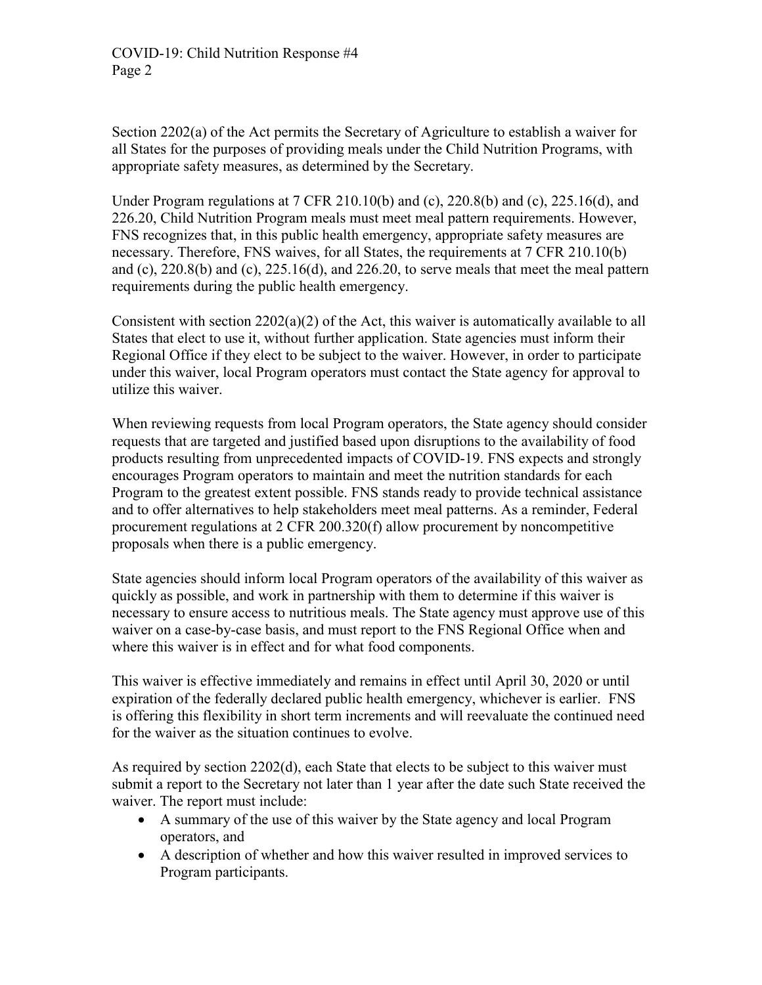Section 2202(a) of the Act permits the Secretary of Agriculture to establish a waiver for all States for the purposes of providing meals under the Child Nutrition Programs, with appropriate safety measures, as determined by the Secretary.

Under Program regulations at 7 CFR 210.10(b) and (c), 220.8(b) and (c), 225.16(d), and 226.20, Child Nutrition Program meals must meet meal pattern requirements. However, FNS recognizes that, in this public health emergency, appropriate safety measures are necessary. Therefore, FNS waives, for all States, the requirements at 7 CFR 210.10(b) and (c),  $220.8(b)$  and (c),  $225.16(d)$ , and  $226.20$ , to serve meals that meet the meal pattern requirements during the public health emergency.

Consistent with section 2202(a)(2) of the Act, this waiver is automatically available to all States that elect to use it, without further application. State agencies must inform their Regional Office if they elect to be subject to the waiver. However, in order to participate under this waiver, local Program operators must contact the State agency for approval to utilize this waiver.

When reviewing requests from local Program operators, the State agency should consider requests that are targeted and justified based upon disruptions to the availability of food products resulting from unprecedented impacts of COVID-19. FNS expects and strongly encourages Program operators to maintain and meet the nutrition standards for each Program to the greatest extent possible. FNS stands ready to provide technical assistance and to offer alternatives to help stakeholders meet meal patterns. As a reminder, Federal procurement regulations at 2 CFR 200.320(f) allow procurement by noncompetitive proposals when there is a public emergency.

State agencies should inform local Program operators of the availability of this waiver as quickly as possible, and work in partnership with them to determine if this waiver is necessary to ensure access to nutritious meals. The State agency must approve use of this waiver on a case-by-case basis, and must report to the FNS Regional Office when and where this waiver is in effect and for what food components.

This waiver is effective immediately and remains in effect until April 30, 2020 or until expiration of the federally declared public health emergency, whichever is earlier. FNS is offering this flexibility in short term increments and will reevaluate the continued need for the waiver as the situation continues to evolve.

As required by section 2202(d), each State that elects to be subject to this waiver must submit a report to the Secretary not later than 1 year after the date such State received the waiver. The report must include:

- A summary of the use of this waiver by the State agency and local Program operators, and
- A description of whether and how this waiver resulted in improved services to Program participants.